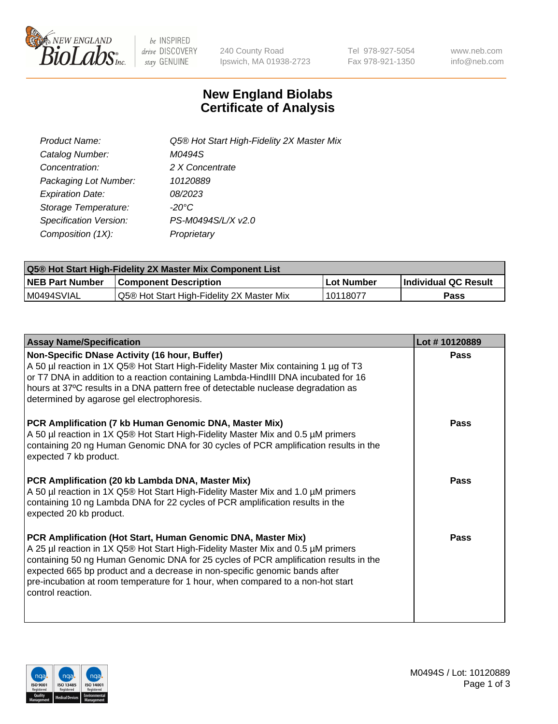

 $be$  INSPIRED drive DISCOVERY stay GENUINE

240 County Road Ipswich, MA 01938-2723 Tel 978-927-5054 Fax 978-921-1350 www.neb.com info@neb.com

## **New England Biolabs Certificate of Analysis**

| Product Name:           | Q5® Hot Start High-Fidelity 2X Master Mix |
|-------------------------|-------------------------------------------|
| Catalog Number:         | M0494S                                    |
| Concentration:          | 2 X Concentrate                           |
| Packaging Lot Number:   | 10120889                                  |
| <b>Expiration Date:</b> | 08/2023                                   |
| Storage Temperature:    | $-20^{\circ}$ C                           |
| Specification Version:  | PS-M0494S/L/X v2.0                        |
| Composition (1X):       | Proprietary                               |

| Q5® Hot Start High-Fidelity 2X Master Mix Component List |                                           |             |                      |  |  |
|----------------------------------------------------------|-------------------------------------------|-------------|----------------------|--|--|
| <b>NEB Part Number</b>                                   | <b>Component Description</b>              | ∣Lot Number | Individual QC Result |  |  |
| M0494SVIAL                                               | Q5® Hot Start High-Fidelity 2X Master Mix | 10118077    | Pass                 |  |  |

| <b>Assay Name/Specification</b>                                                                                                                                                                                                                                                                                                                                                                                                | Lot #10120889 |
|--------------------------------------------------------------------------------------------------------------------------------------------------------------------------------------------------------------------------------------------------------------------------------------------------------------------------------------------------------------------------------------------------------------------------------|---------------|
| Non-Specific DNase Activity (16 hour, Buffer)<br>A 50 µl reaction in 1X Q5® Hot Start High-Fidelity Master Mix containing 1 µg of T3<br>or T7 DNA in addition to a reaction containing Lambda-HindIII DNA incubated for 16<br>hours at 37°C results in a DNA pattern free of detectable nuclease degradation as<br>determined by agarose gel electrophoresis.                                                                  | Pass          |
| PCR Amplification (7 kb Human Genomic DNA, Master Mix)<br>A 50 µl reaction in 1X Q5® Hot Start High-Fidelity Master Mix and 0.5 µM primers<br>containing 20 ng Human Genomic DNA for 30 cycles of PCR amplification results in the<br>expected 7 kb product.                                                                                                                                                                   | Pass          |
| PCR Amplification (20 kb Lambda DNA, Master Mix)<br>A 50 µl reaction in 1X Q5® Hot Start High-Fidelity Master Mix and 1.0 µM primers<br>containing 10 ng Lambda DNA for 22 cycles of PCR amplification results in the<br>expected 20 kb product.                                                                                                                                                                               | Pass          |
| PCR Amplification (Hot Start, Human Genomic DNA, Master Mix)<br>A 25 µl reaction in 1X Q5® Hot Start High-Fidelity Master Mix and 0.5 µM primers<br>containing 50 ng Human Genomic DNA for 25 cycles of PCR amplification results in the<br>expected 665 bp product and a decrease in non-specific genomic bands after<br>pre-incubation at room temperature for 1 hour, when compared to a non-hot start<br>control reaction. | Pass          |

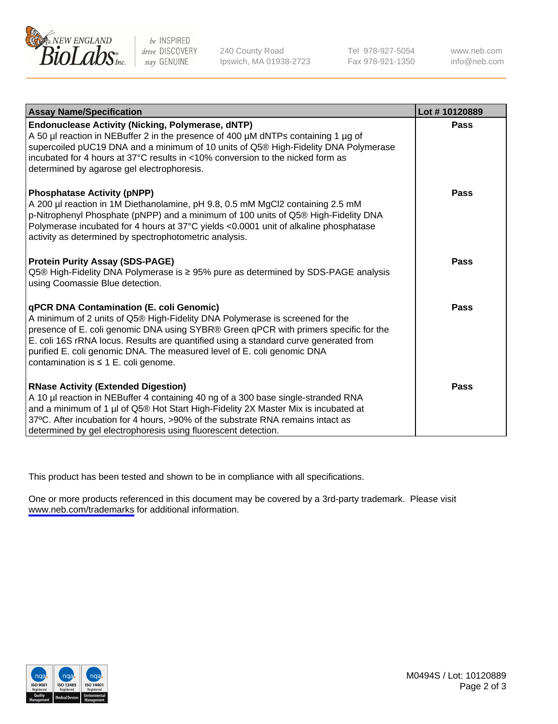

be INSPIRED drive DISCOVERY stay GENUINE

240 County Road Ipswich, MA 01938-2723 Tel 978-927-5054 Fax 978-921-1350

www.neb.com info@neb.com

| <b>Assay Name/Specification</b>                                                                                                                                                                                                                                                                                                                                                                                                    | Lot #10120889 |
|------------------------------------------------------------------------------------------------------------------------------------------------------------------------------------------------------------------------------------------------------------------------------------------------------------------------------------------------------------------------------------------------------------------------------------|---------------|
| <b>Endonuclease Activity (Nicking, Polymerase, dNTP)</b><br>A 50 µl reaction in NEBuffer 2 in the presence of 400 µM dNTPs containing 1 µg of<br>supercoiled pUC19 DNA and a minimum of 10 units of Q5® High-Fidelity DNA Polymerase<br>incubated for 4 hours at 37°C results in <10% conversion to the nicked form as<br>determined by agarose gel electrophoresis.                                                               | Pass          |
| <b>Phosphatase Activity (pNPP)</b><br>A 200 µl reaction in 1M Diethanolamine, pH 9.8, 0.5 mM MgCl2 containing 2.5 mM<br>p-Nitrophenyl Phosphate (pNPP) and a minimum of 100 units of Q5® High-Fidelity DNA<br>Polymerase incubated for 4 hours at 37°C yields <0.0001 unit of alkaline phosphatase<br>activity as determined by spectrophotometric analysis.                                                                       | Pass          |
| <b>Protein Purity Assay (SDS-PAGE)</b><br>Q5® High-Fidelity DNA Polymerase is ≥ 95% pure as determined by SDS-PAGE analysis<br>using Coomassie Blue detection.                                                                                                                                                                                                                                                                     | Pass          |
| <b>qPCR DNA Contamination (E. coli Genomic)</b><br>A minimum of 2 units of Q5® High-Fidelity DNA Polymerase is screened for the<br>presence of E. coli genomic DNA using SYBR® Green qPCR with primers specific for the<br>E. coli 16S rRNA locus. Results are quantified using a standard curve generated from<br>purified E. coli genomic DNA. The measured level of E. coli genomic DNA<br>contamination is ≤ 1 E. coli genome. | Pass          |
| <b>RNase Activity (Extended Digestion)</b><br>A 10 µl reaction in NEBuffer 4 containing 40 ng of a 300 base single-stranded RNA<br>and a minimum of 1 µl of Q5® Hot Start High-Fidelity 2X Master Mix is incubated at<br>37°C. After incubation for 4 hours, >90% of the substrate RNA remains intact as<br>determined by gel electrophoresis using fluorescent detection.                                                         | Pass          |

This product has been tested and shown to be in compliance with all specifications.

One or more products referenced in this document may be covered by a 3rd-party trademark. Please visit <www.neb.com/trademarks>for additional information.